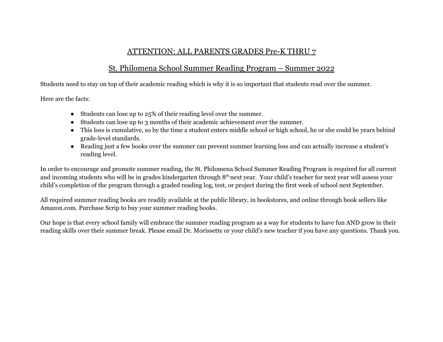## ATTENTION: ALL PARENTS GRADES Pre-K THRU 7

## St. Philomena School Summer Reading Program – Summer 2022

Students need to stay on top of their academic reading which is why it is so important that students read over the summer.

Here are the facts:

- Students can lose up to 25% of their reading level over the summer.
- Students can lose up to 3 months of their academic achievement over the summer.
- This loss is cumulative, so by the time a student enters middle school or high school, he or she could be years behind grade-level standards.
- Reading just a few books over the summer can prevent summer learning loss and can actually increase a student's reading level.

In order to encourage and promote summer reading, the St. Philomena School Summer Reading Program is required for all current and incoming students who will be in grades kindergarten through 8<sup>th</sup> next year. Your child's teacher for next year will assess your child's completion of the program through a graded reading log, test, or project during the first week of school next September.

All required summer reading books are readily available at the public library, in bookstores, and online through book sellers like Amazon.com. Purchase Scrip to buy your summer reading books.

Our hope is that every school family will embrace the summer reading program as a way for students to have fun AND grow in their reading skills over their summer break. Please email Dr. Morissette or your child's new teacher if you have any questions. Thank you.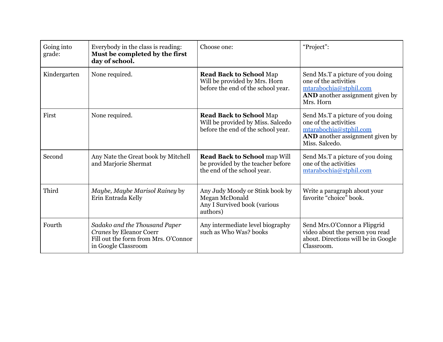| Going into<br>grade: | Everybody in the class is reading:<br>Must be completed by the first<br>day of school.                                  | Choose one:                                                                                               | "Project":                                                                                                                                      |
|----------------------|-------------------------------------------------------------------------------------------------------------------------|-----------------------------------------------------------------------------------------------------------|-------------------------------------------------------------------------------------------------------------------------------------------------|
| Kindergarten         | None required.                                                                                                          | <b>Read Back to School Map</b><br>Will be provided by Mrs. Horn<br>before the end of the school year.     | Send Ms.T a picture of you doing<br>one of the activities<br>mtarabochia@stphil.com<br><b>AND</b> another assignment given by<br>Mrs. Horn      |
| First                | None required.                                                                                                          | <b>Read Back to School Map</b><br>Will be provided by Miss. Salcedo<br>before the end of the school year. | Send Ms.T a picture of you doing<br>one of the activities<br>mtarabochia@stphil.com<br><b>AND</b> another assignment given by<br>Miss. Salcedo. |
| Second               | Any Nate the Great book by Mitchell<br>and Marjorie Shermat                                                             | <b>Read Back to School map Will</b><br>be provided by the teacher before<br>the end of the school year.   | Send Ms.T a picture of you doing<br>one of the activities<br>mtarabochia@stphil.com                                                             |
| Third                | Maybe, Maybe Marisol Rainey by<br>Erin Entrada Kelly                                                                    | Any Judy Moody or Stink book by<br>Megan McDonald<br>Any I Survived book (various<br>authors)             | Write a paragraph about your<br>favorite "choice" book.                                                                                         |
| Fourth               | Sadako and the Thousand Paper<br>Cranes by Eleanor Coerr<br>Fill out the form from Mrs. O'Connor<br>in Google Classroom | Any intermediate level biography<br>such as Who Was? books                                                | Send Mrs.O'Connor a Flipgrid<br>video about the person you read<br>about. Directions will be in Google<br>Classroom.                            |